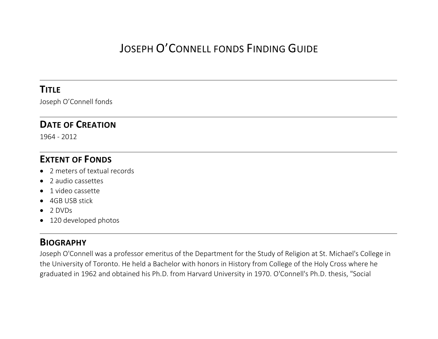# JOSEPH O'CONNELL FONDS FINDING GUIDE

#### **TITLE**

Joseph O'Connell fonds

#### **DATE OF CREATION**

1964 - 2012

#### **EXTENT OF FONDS**

- 2 meters of textual records
- 2 audio cassettes
- 1 video cassette
- 4GB USB stick
- $\bullet$  2 DVDs
- 120 developed photos

#### **BIOGRAPHY**

Joseph O'Connell was a professor emeritus of the Department for the Study of Religion at St. Michael's College in the University of Toronto. He held a Bachelor with honors in History from College of the Holy Cross where he graduated in 1962 and obtained his Ph.D. from Harvard University in 1970. O'Connell's Ph.D. thesis, "Social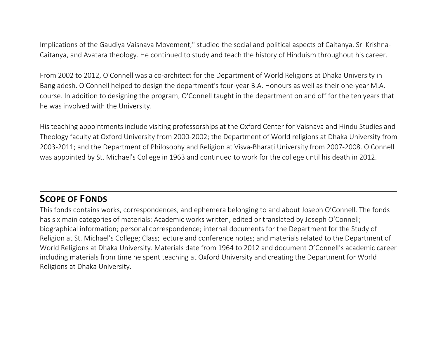Implications of the Gaudiya Vaisnava Movement," studied the social and political aspects of Caitanya, Sri Krishna-Caitanya, and Avatara theology. He continued to study and teach the history of Hinduism throughout his career.

From 2002 to 2012, O'Connell was a co-architect for the Department of World Religions at Dhaka University in Bangladesh. O'Connell helped to design the department's four-year B.A. Honours as well as their one-year M.A. course. In addition to designing the program, O'Connell taught in the department on and off for the ten years that he was involved with the University.

His teaching appointments include visiting professorships at the Oxford Center for Vaisnava and Hindu Studies and Theology faculty at Oxford University from 2000-2002; the Department of World religions at Dhaka University from 2003-2011; and the Department of Philosophy and Religion at Visva-Bharati University from 2007-2008. O'Connell was appointed by St. Michael's College in 1963 and continued to work for the college until his death in 2012.

### **SCOPE OF FONDS**

This fonds contains works, correspondences, and ephemera belonging to and about Joseph O'Connell. The fonds has six main categories of materials: Academic works written, edited or translated by Joseph O'Connell; biographical information; personal correspondence; internal documents for the Department for the Study of Religion at St. Michael's College; Class; lecture and conference notes; and materials related to the Department of World Religions at Dhaka University. Materials date from 1964 to 2012 and document O'Connell's academic career including materials from time he spent teaching at Oxford University and creating the Department for World Religions at Dhaka University.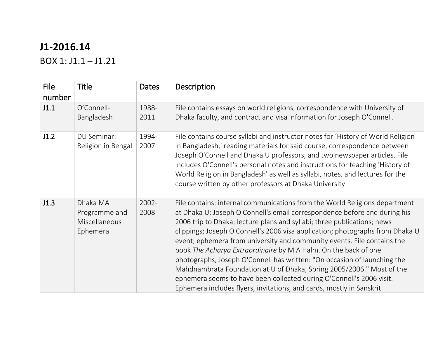### **J1-2016.14**

BOX 1: J1.1 – J1.21

| <b>File</b><br>number | <b>Title</b>                                           | <b>Dates</b>     | Description                                                                                                                                                                                                                                                                                                                                                                                                                                                                                                                                                                                                                                                                                                                                                             |
|-----------------------|--------------------------------------------------------|------------------|-------------------------------------------------------------------------------------------------------------------------------------------------------------------------------------------------------------------------------------------------------------------------------------------------------------------------------------------------------------------------------------------------------------------------------------------------------------------------------------------------------------------------------------------------------------------------------------------------------------------------------------------------------------------------------------------------------------------------------------------------------------------------|
| J1.1                  | O'Connell-<br>Bangladesh                               | 1988-<br>2011    | File contains essays on world religions, correspondence with University of<br>Dhaka faculty, and contract and visa information for Joseph O'Connell.                                                                                                                                                                                                                                                                                                                                                                                                                                                                                                                                                                                                                    |
| J1.2                  | DU Seminar:<br>Religion in Bengal                      | 1994-<br>2007    | File contains course syllabi and instructor notes for 'History of World Religion<br>in Bangladesh,' reading materials for said course, correspondence between<br>Joseph O'Connell and Dhaka U professors, and two newspaper articles. File<br>includes O'Connell's personal notes and instructions for teaching 'History of<br>World Religion in Bangladesh' as well as syllabi, notes, and lectures for the<br>course written by other professors at Dhaka University.                                                                                                                                                                                                                                                                                                 |
| J1.3                  | Dhaka MA<br>Programme and<br>Miscellaneous<br>Ephemera | $2002 -$<br>2008 | File contains: internal communications from the World Religions department<br>at Dhaka U; Joseph O'Connell's email correspondence before and during his<br>2006 trip to Dhaka; lecture plans and syllabi; three publications; news<br>clippings; Joseph O'Connell's 2006 visa application; photographs from Dhaka U<br>event; ephemera from university and community events. File contains the<br>book The Acharya Extraordinaire by M A Halm. On the back of one<br>photographs, Joseph O'Connell has written: "On occasion of launching the<br>Mahdnambrata Foundation at U of Dhaka, Spring 2005/2006." Most of the<br>ephemera seems to have been collected during O'Connell's 2006 visit.<br>Ephemera includes flyers, invitations, and cards, mostly in Sanskrit. |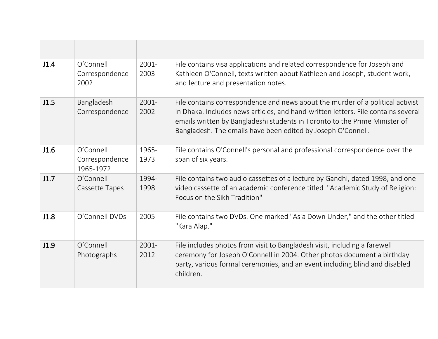| J1.4 | O'Connell<br>Correspondence<br>2002      | 2001-<br>2003    | File contains visa applications and related correspondence for Joseph and<br>Kathleen O'Connell, texts written about Kathleen and Joseph, student work,<br>and lecture and presentation notes.                                                                                                                    |
|------|------------------------------------------|------------------|-------------------------------------------------------------------------------------------------------------------------------------------------------------------------------------------------------------------------------------------------------------------------------------------------------------------|
| J1.5 | Bangladesh<br>Correspondence             | $2001 -$<br>2002 | File contains correspondence and news about the murder of a political activist<br>in Dhaka. Includes news articles, and hand-written letters. File contains several<br>emails written by Bangladeshi students in Toronto to the Prime Minister of<br>Bangladesh. The emails have been edited by Joseph O'Connell. |
| J1.6 | O'Connell<br>Correspondence<br>1965-1972 | 1965-<br>1973    | File contains O'Connell's personal and professional correspondence over the<br>span of six years.                                                                                                                                                                                                                 |
| J1.7 | O'Connell<br>Cassette Tapes              | 1994-<br>1998    | File contains two audio cassettes of a lecture by Gandhi, dated 1998, and one<br>video cassette of an academic conference titled "Academic Study of Religion:<br>Focus on the Sikh Tradition"                                                                                                                     |
| J1.8 | O'Connell DVDs                           | 2005             | File contains two DVDs. One marked "Asia Down Under," and the other titled<br>"Kara Alap."                                                                                                                                                                                                                        |
| J1.9 | O'Connell<br>Photographs                 | $2001 -$<br>2012 | File includes photos from visit to Bangladesh visit, including a farewell<br>ceremony for Joseph O'Connell in 2004. Other photos document a birthday<br>party, various formal ceremonies, and an event including blind and disabled<br>children.                                                                  |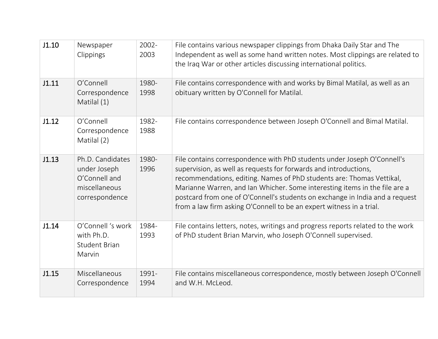| J1.10 | Newspaper<br>Clippings                                                               | 2002-<br>2003 | File contains various newspaper clippings from Dhaka Daily Star and The<br>Independent as well as some hand written notes. Most clippings are related to<br>the Iraq War or other articles discussing international politics.                                                                                                                                                                                                                              |
|-------|--------------------------------------------------------------------------------------|---------------|------------------------------------------------------------------------------------------------------------------------------------------------------------------------------------------------------------------------------------------------------------------------------------------------------------------------------------------------------------------------------------------------------------------------------------------------------------|
| J1.11 | O'Connell<br>Correspondence<br>Matilal (1)                                           | 1980-<br>1998 | File contains correspondence with and works by Bimal Matilal, as well as an<br>obituary written by O'Connell for Matilal.                                                                                                                                                                                                                                                                                                                                  |
| J1.12 | O'Connell<br>Correspondence<br>Matilal (2)                                           | 1982-<br>1988 | File contains correspondence between Joseph O'Connell and Bimal Matilal.                                                                                                                                                                                                                                                                                                                                                                                   |
| J1.13 | Ph.D. Candidates<br>under Joseph<br>O'Connell and<br>miscellaneous<br>correspondence | 1980-<br>1996 | File contains correspondence with PhD students under Joseph O'Connell's<br>supervision, as well as requests for forwards and introductions,<br>recommendations, editing. Names of PhD students are: Thomas Vettikal,<br>Marianne Warren, and Ian Whicher. Some interesting items in the file are a<br>postcard from one of O'Connell's students on exchange in India and a request<br>from a law firm asking O'Connell to be an expert witness in a trial. |
| J1.14 | O'Connell 's work<br>with Ph.D.<br><b>Student Brian</b><br>Marvin                    | 1984-<br>1993 | File contains letters, notes, writings and progress reports related to the work<br>of PhD student Brian Marvin, who Joseph O'Connell supervised.                                                                                                                                                                                                                                                                                                           |
| J1.15 | Miscellaneous<br>Correspondence                                                      | 1991-<br>1994 | File contains miscellaneous correspondence, mostly between Joseph O'Connell<br>and W.H. McLeod.                                                                                                                                                                                                                                                                                                                                                            |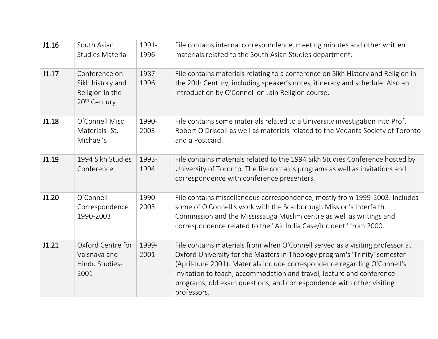| J1.16 | South Asian<br><b>Studies Material</b>                                           | 1991-<br>1996 | File contains internal correspondence, meeting minutes and other written<br>materials related to the South Asian Studies department.                                                                                                                                                                                                                                                                     |
|-------|----------------------------------------------------------------------------------|---------------|----------------------------------------------------------------------------------------------------------------------------------------------------------------------------------------------------------------------------------------------------------------------------------------------------------------------------------------------------------------------------------------------------------|
| J1.17 | Conference on<br>Sikh history and<br>Religion in the<br>20 <sup>th</sup> Century | 1987-<br>1996 | File contains materials relating to a conference on Sikh History and Religion in<br>the 20th Century, including speaker's notes, itinerary and schedule. Also an<br>introduction by O'Connell on Jain Religion course.                                                                                                                                                                                   |
| J1.18 | O'Connell Misc.<br>Materials-St.<br>Michael's                                    | 1990-<br>2003 | File contains some materials related to a University investigation into Prof.<br>Robert O'Driscoll as well as materials related to the Vedanta Society of Toronto<br>and a Postcard.                                                                                                                                                                                                                     |
| J1.19 | 1994 Sikh Studies<br>Conference                                                  | 1993-<br>1994 | File contains materials related to the 1994 Sikh Studies Conference hosted by<br>University of Toronto. The file contains programs as well as invitations and<br>correspondence with conference presenters.                                                                                                                                                                                              |
| J1.20 | O'Connell<br>Correspondence<br>1990-2003                                         | 1990-<br>2003 | File contains miscellaneous correspondence, mostly from 1999-2003. Includes<br>some of O'Connell's work with the Scarborough Mission's Interfaith<br>Commission and the Mississauga Muslim centre as well as writings and<br>correspondence related to the "Air India Case/Incident" from 2000.                                                                                                          |
| J1.21 | Oxford Centre for<br>Vaisnava and<br>Hindu Studies-<br>2001                      | 1999-<br>2001 | File contains materials from when O'Connell served as a visiting professor at<br>Oxford University for the Masters in Theology program's 'Trinity' semester<br>(April-June 2001). Materials include correspondence regarding O'Connell's<br>invitation to teach, accommodation and travel, lecture and conference<br>programs, old exam questions, and correspondence with other visiting<br>professors. |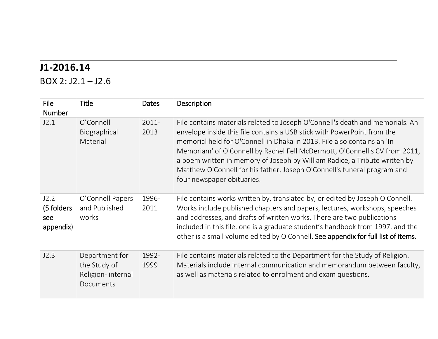### **J1-2016.14**

BOX 2: J2.1 – J2.6

| <b>File</b><br><b>Number</b>           | <b>Title</b>                                                     | <b>Dates</b>     | Description                                                                                                                                                                                                                                                                                                                                                                                                                                                                                               |
|----------------------------------------|------------------------------------------------------------------|------------------|-----------------------------------------------------------------------------------------------------------------------------------------------------------------------------------------------------------------------------------------------------------------------------------------------------------------------------------------------------------------------------------------------------------------------------------------------------------------------------------------------------------|
| J2.1                                   | O'Connell<br>Biographical<br>Material                            | $2011 -$<br>2013 | File contains materials related to Joseph O'Connell's death and memorials. An<br>envelope inside this file contains a USB stick with PowerPoint from the<br>memorial held for O'Connell in Dhaka in 2013. File also contains an 'In<br>Memoriam' of O'Connell by Rachel Fell McDermott, O'Connell's CV from 2011,<br>a poem written in memory of Joseph by William Radice, a Tribute written by<br>Matthew O'Connell for his father, Joseph O'Connell's funeral program and<br>four newspaper obituaries. |
| J2.2<br>(5 folders<br>see<br>appendix) | O'Connell Papers<br>and Published<br>works                       | 1996-<br>2011    | File contains works written by, translated by, or edited by Joseph O'Connell.<br>Works include published chapters and papers, lectures, workshops, speeches<br>and addresses, and drafts of written works. There are two publications<br>included in this file, one is a graduate student's handbook from 1997, and the<br>other is a small volume edited by O'Connell. See appendix for full list of items.                                                                                              |
| J2.3                                   | Department for<br>the Study of<br>Religion-internal<br>Documents | 1992-<br>1999    | File contains materials related to the Department for the Study of Religion.<br>Materials include internal communication and memorandum between faculty,<br>as well as materials related to enrolment and exam questions.                                                                                                                                                                                                                                                                                 |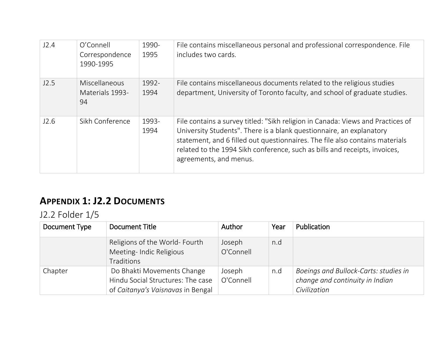| J2.4 | O'Connell<br>Correspondence<br>1990-1995      | 1990-<br>1995 | File contains miscellaneous personal and professional correspondence. File<br>includes two cards.                                                                                                                                                                                                                                               |
|------|-----------------------------------------------|---------------|-------------------------------------------------------------------------------------------------------------------------------------------------------------------------------------------------------------------------------------------------------------------------------------------------------------------------------------------------|
| J2.5 | <b>Miscellaneous</b><br>Materials 1993-<br>94 | 1992-<br>1994 | File contains miscellaneous documents related to the religious studies<br>department, University of Toronto faculty, and school of graduate studies.                                                                                                                                                                                            |
| J2.6 | Sikh Conference                               | 1993-<br>1994 | File contains a survey titled: "Sikh religion in Canada: Views and Practices of<br>University Students". There is a blank questionnaire, an explanatory<br>statement, and 6 filled out questionnaires. The file also contains materials<br>related to the 1994 Sikh conference, such as bills and receipts, invoices,<br>agreements, and menus. |

### **APPENDIX 1: J2.2 DOCUMENTS**

J2.2 Folder 1/5

| Document Type | Document Title                                                                                       | Author              | Year | Publication                                                                              |
|---------------|------------------------------------------------------------------------------------------------------|---------------------|------|------------------------------------------------------------------------------------------|
|               | Religions of the World-Fourth<br>Meeting-Indic Religious<br><b>Traditions</b>                        | Joseph<br>O'Connell | n.d  |                                                                                          |
| Chapter       | Do Bhakti Movements Change<br>Hindu Social Structures: The case<br>of Caitanya's Vaisnavas in Bengal | Joseph<br>O'Connell | n.d  | Boeings and Bullock-Carts: studies in<br>change and continuity in Indian<br>Civilization |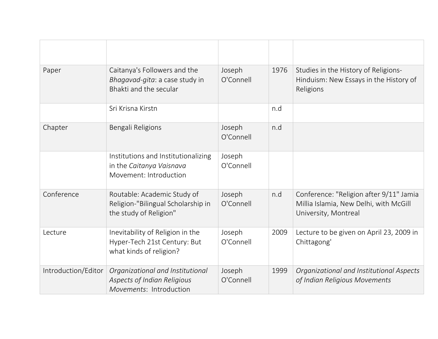| Paper               | Caitanya's Followers and the<br>Bhagavad-gita: a case study in<br>Bhakti and the secular    | Joseph<br>O'Connell | 1976 | Studies in the History of Religions-<br>Hinduism: New Essays in the History of<br>Religions               |
|---------------------|---------------------------------------------------------------------------------------------|---------------------|------|-----------------------------------------------------------------------------------------------------------|
|                     | Sri Krisna Kirstn                                                                           |                     | n.d  |                                                                                                           |
| Chapter             | Bengali Religions                                                                           | Joseph<br>O'Connell | n.d  |                                                                                                           |
|                     | Institutions and Institutionalizing<br>in the Caitanya Vaisnava<br>Movement: Introduction   | Joseph<br>O'Connell |      |                                                                                                           |
| Conference          | Routable: Academic Study of<br>Religion-"Bilingual Scholarship in<br>the study of Religion" | Joseph<br>O'Connell | n.d  | Conference: "Religion after 9/11" Jamia<br>Millia Islamia, New Delhi, with McGill<br>University, Montreal |
| Lecture             | Inevitability of Religion in the<br>Hyper-Tech 21st Century: But<br>what kinds of religion? | Joseph<br>O'Connell | 2009 | Lecture to be given on April 23, 2009 in<br>Chittagong'                                                   |
| Introduction/Editor | Organizational and Institutional<br>Aspects of Indian Religious<br>Movements: Introduction  | Joseph<br>O'Connell | 1999 | Organizational and Institutional Aspects<br>of Indian Religious Movements                                 |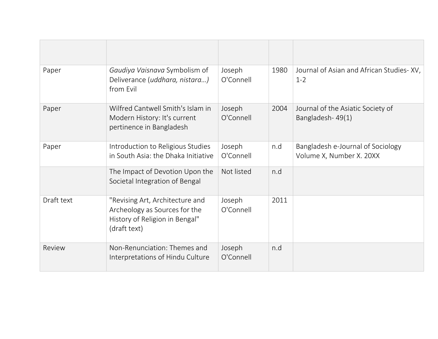| Paper      | Gaudiya Vaisnava Symbolism of<br>Deliverance (uddhara, nistara)<br>from Evil                                       | Joseph<br>O'Connell | 1980 | Journal of Asian and African Studies-XV,<br>$1 - 2$           |
|------------|--------------------------------------------------------------------------------------------------------------------|---------------------|------|---------------------------------------------------------------|
| Paper      | Wilfred Cantwell Smith's Islam in<br>Modern History: It's current<br>pertinence in Bangladesh                      | Joseph<br>O'Connell | 2004 | Journal of the Asiatic Society of<br>Bangladesh-49(1)         |
| Paper      | Introduction to Religious Studies<br>in South Asia: the Dhaka Initiative                                           | Joseph<br>O'Connell | n.d  | Bangladesh e-Journal of Sociology<br>Volume X, Number X. 20XX |
|            | The Impact of Devotion Upon the<br>Societal Integration of Bengal                                                  | Not listed          | n.d  |                                                               |
| Draft text | "Revising Art, Architecture and<br>Archeology as Sources for the<br>History of Religion in Bengal"<br>(draft text) | Joseph<br>O'Connell | 2011 |                                                               |
| Review     | Non-Renunciation: Themes and<br>Interpretations of Hindu Culture                                                   | Joseph<br>O'Connell | n.d  |                                                               |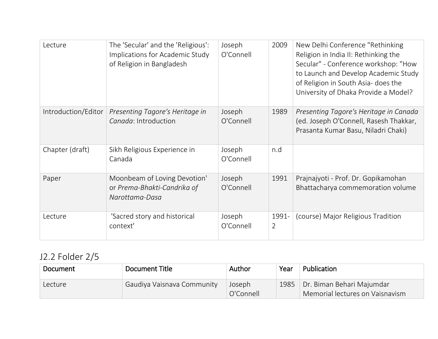| Lecture             | The 'Secular' and the 'Religious':<br>Implications for Academic Study<br>of Religion in Bangladesh | Joseph<br>O'Connell | 2009       | New Delhi Conference "Rethinking"<br>Religion in India II: Rethinking the<br>Secular" - Conference workshop: "How<br>to Launch and Develop Academic Study<br>of Religion in South Asia- does the<br>University of Dhaka Provide a Model? |
|---------------------|----------------------------------------------------------------------------------------------------|---------------------|------------|------------------------------------------------------------------------------------------------------------------------------------------------------------------------------------------------------------------------------------------|
| Introduction/Editor | Presenting Tagore's Heritage in<br>Canada: Introduction                                            | Joseph<br>O'Connell | 1989       | Presenting Tagore's Heritage in Canada<br>(ed. Joseph O'Connell, Rasesh Thakkar,<br>Prasanta Kumar Basu, Niladri Chaki)                                                                                                                  |
| Chapter (draft)     | Sikh Religious Experience in<br>Canada                                                             | Joseph<br>O'Connell | n.d        |                                                                                                                                                                                                                                          |
| Paper               | Moonbeam of Loving Devotion'<br>or Prema-Bhakti-Candrika of<br>Narottama-Dasa                      | Joseph<br>O'Connell | 1991       | Prajnajyoti - Prof. Dr. Gopikamohan<br>Bhattacharya commemoration volume                                                                                                                                                                 |
| Lecture             | 'Sacred story and historical<br>context'                                                           | Joseph<br>O'Connell | 1991-<br>2 | (course) Major Religious Tradition                                                                                                                                                                                                       |

# J2.2 Folder 2/5

| Document | Document Title             | Author              | Year | Publication                                                  |
|----------|----------------------------|---------------------|------|--------------------------------------------------------------|
| Lecture  | Gaudiya Vaisnava Community | Joseph<br>O'Connell | 1985 | Dr. Biman Behari Majumdar<br>Memorial lectures on Vaisnavism |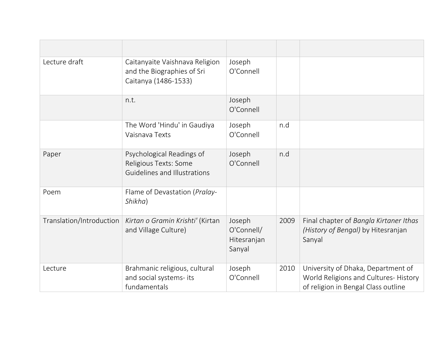| Lecture draft            | Caitanyaite Vaishnava Religion<br>and the Biographies of Sri<br>Caitanya (1486-1533) | Joseph<br>O'Connell                           |      |                                                                                                                   |
|--------------------------|--------------------------------------------------------------------------------------|-----------------------------------------------|------|-------------------------------------------------------------------------------------------------------------------|
|                          | n.t.                                                                                 | Joseph<br>O'Connell                           |      |                                                                                                                   |
|                          | The Word 'Hindu' in Gaudiya<br>Vaisnava Texts                                        | Joseph<br>O'Connell                           | n.d  |                                                                                                                   |
| Paper                    | Psychological Readings of<br>Religious Texts: Some<br>Guidelines and Illustrations   | Joseph<br>O'Connell                           | n.d  |                                                                                                                   |
| Poem                     | Flame of Devastation (Pralay-<br>Shikha)                                             |                                               |      |                                                                                                                   |
| Translation/Introduction | Kirtan o Gramin Krishti' (Kirtan<br>and Village Culture)                             | Joseph<br>O'Connell/<br>Hitesranjan<br>Sanyal | 2009 | Final chapter of Bangla Kirtaner Ithas<br>(History of Bengal) by Hitesranjan<br>Sanyal                            |
| Lecture                  | Brahmanic religious, cultural<br>and social systems- its<br>fundamentals             | Joseph<br>O'Connell                           | 2010 | University of Dhaka, Department of<br>World Religions and Cultures-History<br>of religion in Bengal Class outline |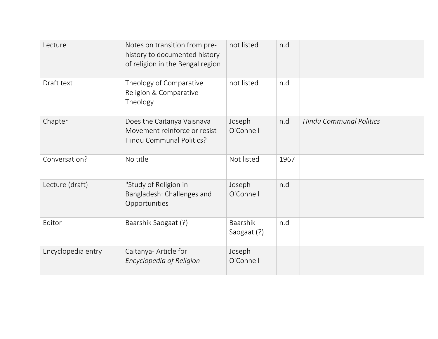| Lecture            | Notes on transition from pre-<br>history to documented history<br>of religion in the Bengal region | not listed                     | n.d  |                                |
|--------------------|----------------------------------------------------------------------------------------------------|--------------------------------|------|--------------------------------|
| Draft text         | Theology of Comparative<br>Religion & Comparative<br>Theology                                      | not listed                     | n.d  |                                |
| Chapter            | Does the Caitanya Vaisnava<br>Movement reinforce or resist<br>Hindu Communal Politics?             | Joseph<br>O'Connell            | n.d  | <b>Hindu Communal Politics</b> |
| Conversation?      | No title                                                                                           | Not listed                     | 1967 |                                |
| Lecture (draft)    | "Study of Religion in<br>Bangladesh: Challenges and<br>Opportunities                               | Joseph<br>O'Connell            | n.d  |                                |
| Editor             | Baarshik Saogaat (?)                                                                               | <b>Baarshik</b><br>Saogaat (?) | n.d  |                                |
| Encyclopedia entry | Caitanya- Article for<br>Encyclopedia of Religion                                                  | Joseph<br>O'Connell            |      |                                |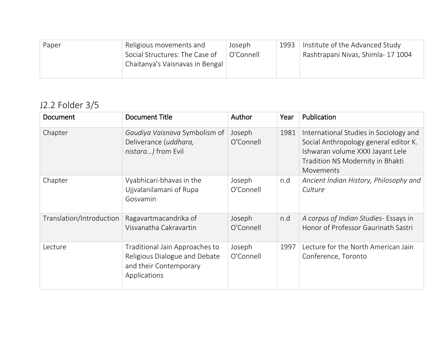| Religious movements and<br>Paper<br>Social Structures: The Case of<br>Chaitanya's Vaisnavas in Bengal | Joseph<br>O'Connell | 1993 | Institute of the Advanced Study<br>Rashtrapani Nivas, Shimla- 17 1004 |
|-------------------------------------------------------------------------------------------------------|---------------------|------|-----------------------------------------------------------------------|
|-------------------------------------------------------------------------------------------------------|---------------------|------|-----------------------------------------------------------------------|

# J2.2 Folder 3/5

| Document                 | <b>Document Title</b>                                                                                     | <b>Author</b>       | Year | Publication                                                                                                                                                          |
|--------------------------|-----------------------------------------------------------------------------------------------------------|---------------------|------|----------------------------------------------------------------------------------------------------------------------------------------------------------------------|
| Chapter                  | Gaudiya Vaisnava Symbolism of<br>Deliverance (uddhara,<br>nistara) from Evil                              | Joseph<br>O'Connell | 1981 | International Studies in Sociology and<br>Social Anthropology general editor K.<br>Ishwaran volume XXXI Jayant Lele<br>Tradition NS Modernity in Bhakti<br>Movements |
| Chapter                  | Vyabhicari-bhavas in the<br>Ujjvalanilamani of Rupa<br>Gosvamin                                           | Joseph<br>O'Connell | n.d  | Ancient Indian History, Philosophy and<br>Culture                                                                                                                    |
| Translation/Introduction | Ragavartmacandrika of<br>Visvanatha Cakravartin                                                           | Joseph<br>O'Connell | n.d  | A corpus of Indian Studies- Essays in<br>Honor of Professor Gaurinath Sastri                                                                                         |
| Lecture                  | Traditional Jain Approaches to<br>Religious Dialogue and Debate<br>and their Contemporary<br>Applications | Joseph<br>O'Connell | 1997 | Lecture for the North American Jain<br>Conference, Toronto                                                                                                           |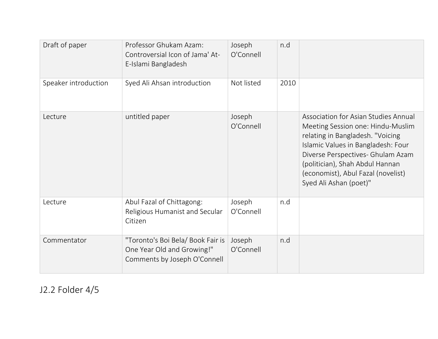| Draft of paper       | Professor Ghukam Azam:<br>Controversial Icon of Jama' At-<br>E-Islami Bangladesh                | Joseph<br>O'Connell | n.d  |                                                                                                                                                                                                                                                                                             |
|----------------------|-------------------------------------------------------------------------------------------------|---------------------|------|---------------------------------------------------------------------------------------------------------------------------------------------------------------------------------------------------------------------------------------------------------------------------------------------|
| Speaker introduction | Syed Ali Ahsan introduction                                                                     | Not listed          | 2010 |                                                                                                                                                                                                                                                                                             |
| Lecture              | untitled paper                                                                                  | Joseph<br>O'Connell |      | Association for Asian Studies Annual<br>Meeting Session one: Hindu-Muslim<br>relating in Bangladesh. "Voicing<br>Islamic Values in Bangladesh: Four<br>Diverse Perspectives- Ghulam Azam<br>(politician), Shah Abdul Hannan<br>(economist), Abul Fazal (novelist)<br>Syed Ali Ashan (poet)" |
| Lecture              | Abul Fazal of Chittagong:<br>Religious Humanist and Secular<br>Citizen                          | Joseph<br>O'Connell | n.d  |                                                                                                                                                                                                                                                                                             |
| Commentator          | "Toronto's Boi Bela/ Book Fair is<br>One Year Old and Growing!"<br>Comments by Joseph O'Connell | Joseph<br>O'Connell | n.d  |                                                                                                                                                                                                                                                                                             |

J2.2 Folder 4/5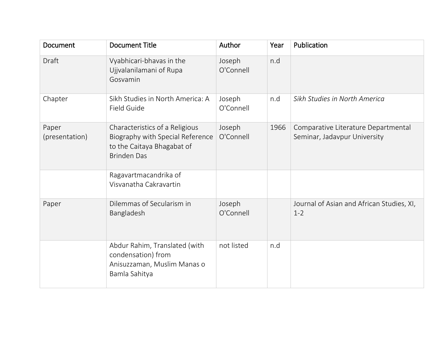| Document                | <b>Document Title</b>                                                                                                  | Author              | Year | Publication                                                         |
|-------------------------|------------------------------------------------------------------------------------------------------------------------|---------------------|------|---------------------------------------------------------------------|
| Draft                   | Vyabhicari-bhavas in the<br>Ujjvalanilamani of Rupa<br>Gosvamin                                                        | Joseph<br>O'Connell | n.d  |                                                                     |
| Chapter                 | Sikh Studies in North America: A<br>Field Guide                                                                        | Joseph<br>O'Connell | n.d  | Sikh Studies in North America                                       |
| Paper<br>(presentation) | Characteristics of a Religious<br>Biography with Special Reference<br>to the Caitaya Bhagabat of<br><b>Brinden Das</b> | Joseph<br>O'Connell | 1966 | Comparative Literature Departmental<br>Seminar, Jadavpur University |
|                         | Ragavartmacandrika of<br>Visvanatha Cakravartin                                                                        |                     |      |                                                                     |
| Paper                   | Dilemmas of Secularism in<br>Bangladesh                                                                                | Joseph<br>O'Connell |      | Journal of Asian and African Studies, XI,<br>$1 - 2$                |
|                         | Abdur Rahim, Translated (with<br>condensation) from<br>Anisuzzaman, Muslim Manas o<br>Bamla Sahitya                    | not listed          | n.d  |                                                                     |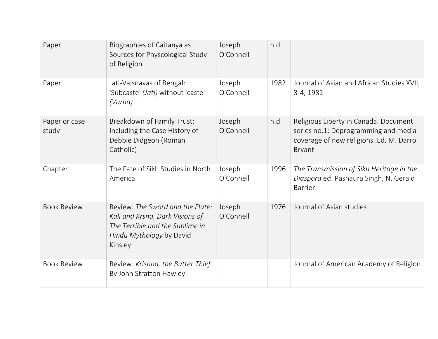| Paper                  | Biographies of Caitanya as<br>Sources for Physcological Study<br>of Religion                                                                  | Joseph<br>O'Connell | n.d  |                                                                                                                                            |
|------------------------|-----------------------------------------------------------------------------------------------------------------------------------------------|---------------------|------|--------------------------------------------------------------------------------------------------------------------------------------------|
| Paper                  | Jati-Vaisnavas of Bengal:<br>'Subcaste' (Jati) without 'caste'<br>(Varna)                                                                     | Joseph<br>O'Connell | 1982 | Journal of Asian and African Studies XVII,<br>3-4, 1982                                                                                    |
| Paper or case<br>study | Breakdown of Family Trust:<br>Including the Case History of<br>Debbie Didgeon (Roman<br>Catholic)                                             | Joseph<br>O'Connell | n.d  | Religious Liberty in Canada. Document<br>series no.1: Deprogramming and media<br>coverage of new religions. Ed. M. Darrol<br><b>Bryant</b> |
| Chapter                | The Fate of Sikh Studies in North<br>America                                                                                                  | Joseph<br>O'Connell | 1996 | The Transmission of Sikh Heritage in the<br>Diaspora ed. Pashaura Singh, N. Gerald<br><b>Barrier</b>                                       |
| <b>Book Review</b>     | Review: The Sword and the Flute:<br>Kali and Krsna, Dark Visions of<br>The Terrible and the Sublime in<br>Hindu Mythology by David<br>Kinsley | Joseph<br>O'Connell | 1976 | Journal of Asian studies                                                                                                                   |
| <b>Book Review</b>     | Review: Krishna, the Butter Thief.<br>By John Stratton Hawley.                                                                                |                     |      | Journal of American Academy of Religion                                                                                                    |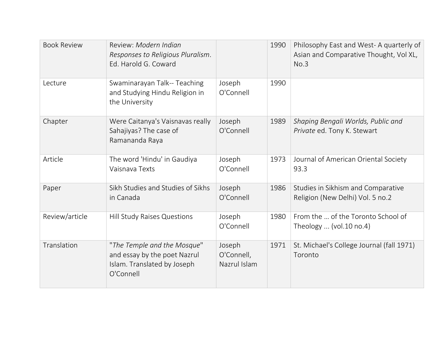| <b>Book Review</b> | Review: Modern Indian<br>Responses to Religious Pluralism.<br>Ed. Harold G. Coward                      |                                      | 1990 | Philosophy East and West-A quarterly of<br>Asian and Comparative Thought, Vol XL,<br>No.3 |
|--------------------|---------------------------------------------------------------------------------------------------------|--------------------------------------|------|-------------------------------------------------------------------------------------------|
| Lecture            | Swaminarayan Talk-- Teaching<br>and Studying Hindu Religion in<br>the University                        | Joseph<br>O'Connell                  | 1990 |                                                                                           |
| Chapter            | Were Caitanya's Vaisnavas really<br>Sahajiyas? The case of<br>Ramananda Raya                            | Joseph<br>O'Connell                  | 1989 | Shaping Bengali Worlds, Public and<br>Private ed. Tony K. Stewart                         |
| Article            | The word 'Hindu' in Gaudiya<br>Vaisnava Texts                                                           | Joseph<br>O'Connell                  | 1973 | Journal of American Oriental Society<br>93.3                                              |
| Paper              | Sikh Studies and Studies of Sikhs<br>in Canada                                                          | Joseph<br>O'Connell                  | 1986 | Studies in Sikhism and Comparative<br>Religion (New Delhi) Vol. 5 no.2                    |
| Review/article     | Hill Study Raises Questions                                                                             | Joseph<br>O'Connell                  | 1980 | From the  of the Toronto School of<br>Theology  (vol.10 no.4)                             |
| Translation        | "The Temple and the Mosque"<br>and essay by the poet Nazrul<br>Islam. Translated by Joseph<br>O'Connell | Joseph<br>O'Connell,<br>Nazrul Islam | 1971 | St. Michael's College Journal (fall 1971)<br>Toronto                                      |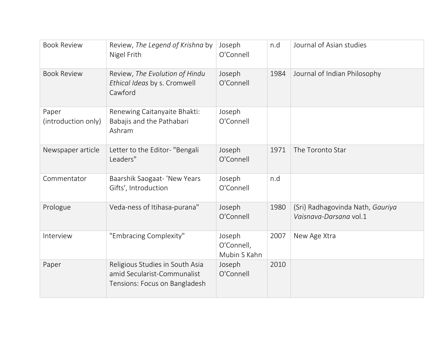| <b>Book Review</b>           | Review, The Legend of Krishna by<br>Nigel Frith                                                 | Joseph<br>O'Connell                  | n.d  | Journal of Asian studies                                   |
|------------------------------|-------------------------------------------------------------------------------------------------|--------------------------------------|------|------------------------------------------------------------|
| <b>Book Review</b>           | Review, The Evolution of Hindu<br>Ethical Ideas by s. Cromwell<br>Cawford                       | Joseph<br>O'Connell                  | 1984 | Journal of Indian Philosophy                               |
| Paper<br>(introduction only) | Renewing Caitanyaite Bhakti:<br>Babajis and the Pathabari<br>Ashram                             | Joseph<br>O'Connell                  |      |                                                            |
| Newspaper article            | Letter to the Editor- "Bengali<br>Leaders"                                                      | Joseph<br>O'Connell                  | 1971 | The Toronto Star                                           |
| Commentator                  | Baarshik Saogaat- 'New Years<br>Gifts', Introduction                                            | Joseph<br>O'Connell                  | n.d  |                                                            |
| Prologue                     | Veda-ness of Itihasa-purana"                                                                    | Joseph<br>O'Connell                  | 1980 | (Sri) Radhagovinda Nath, Gauriya<br>Vaisnava-Darsana vol.1 |
| Interview                    | "Embracing Complexity"                                                                          | Joseph<br>O'Connell,<br>Mubin S Kahn | 2007 | New Age Xtra                                               |
| Paper                        | Religious Studies in South Asia<br>amid Secularist-Communalist<br>Tensions: Focus on Bangladesh | Joseph<br>O'Connell                  | 2010 |                                                            |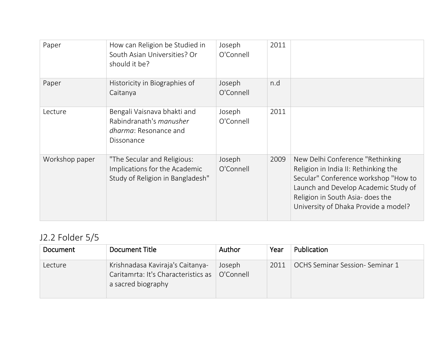| Paper          | How can Religion be Studied in<br>South Asian Universities? Or<br>should it be?                      | Joseph<br>O'Connell | 2011 |                                                                                                                                                                                                                                      |
|----------------|------------------------------------------------------------------------------------------------------|---------------------|------|--------------------------------------------------------------------------------------------------------------------------------------------------------------------------------------------------------------------------------------|
| Paper          | Historicity in Biographies of<br>Caitanya                                                            | Joseph<br>O'Connell | n.d  |                                                                                                                                                                                                                                      |
| Lecture        | Bengali Vaisnava bhakti and<br>Rabindranath's <i>manusher</i><br>dharma: Resonance and<br>Dissonance | Joseph<br>O'Connell | 2011 |                                                                                                                                                                                                                                      |
| Workshop paper | "The Secular and Religious:<br>Implications for the Academic<br>Study of Religion in Bangladesh"     | Joseph<br>O'Connell | 2009 | New Delhi Conference "Rethinking<br>Religion in India II: Rethinking the<br>Secular" Conference workshop "How to<br>Launch and Develop Academic Study of<br>Religion in South Asia- does the<br>University of Dhaka Provide a model? |

# J2.2 Folder 5/5

| Document | Document Title                                                                                | Author              | Year | Publication                    |
|----------|-----------------------------------------------------------------------------------------------|---------------------|------|--------------------------------|
| Lecture  | Krishnadasa Kaviraja's Caitanya-<br>Caritamrta: It's Characteristics as<br>a sacred biography | Joseph<br>O'Connell | 2011 | OCHS Seminar Session-Seminar 1 |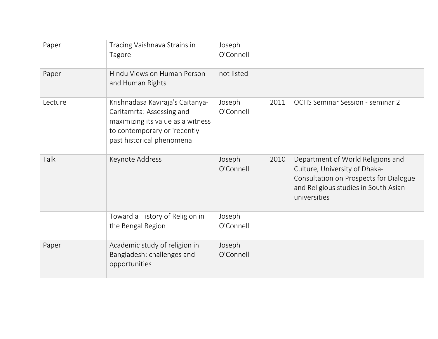| Paper   | Tracing Vaishnava Strains in<br>Tagore                                                                                                                           | Joseph<br>O'Connell |      |                                                                                                                                                                      |
|---------|------------------------------------------------------------------------------------------------------------------------------------------------------------------|---------------------|------|----------------------------------------------------------------------------------------------------------------------------------------------------------------------|
| Paper   | Hindu Views on Human Person<br>and Human Rights                                                                                                                  | not listed          |      |                                                                                                                                                                      |
| Lecture | Krishnadasa Kaviraja's Caitanya-<br>Caritamrta: Assessing and<br>maximizing its value as a witness<br>to contemporary or 'recently'<br>past historical phenomena | Joseph<br>O'Connell | 2011 | <b>OCHS Seminar Session - seminar 2</b>                                                                                                                              |
| Talk    | Keynote Address                                                                                                                                                  | Joseph<br>O'Connell | 2010 | Department of World Religions and<br>Culture, University of Dhaka-<br>Consultation on Prospects for Dialogue<br>and Religious studies in South Asian<br>universities |
|         | Toward a History of Religion in<br>the Bengal Region                                                                                                             | Joseph<br>O'Connell |      |                                                                                                                                                                      |
| Paper   | Academic study of religion in<br>Bangladesh: challenges and<br>opportunities                                                                                     | Joseph<br>O'Connell |      |                                                                                                                                                                      |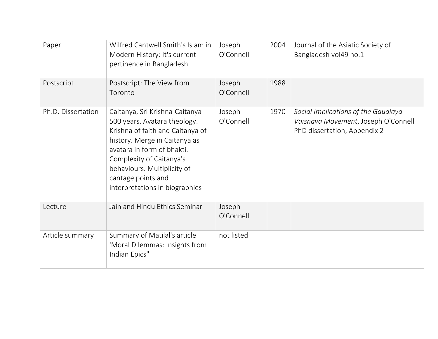| Paper              | Wilfred Cantwell Smith's Islam in<br>Modern History: It's current<br>pertinence in Bangladesh                                                                                                                                                                                        | Joseph<br>O'Connell | 2004 | Journal of the Asiatic Society of<br>Bangladesh vol49 no.1                                                 |
|--------------------|--------------------------------------------------------------------------------------------------------------------------------------------------------------------------------------------------------------------------------------------------------------------------------------|---------------------|------|------------------------------------------------------------------------------------------------------------|
| Postscript         | Postscript: The View from<br>Toronto                                                                                                                                                                                                                                                 | Joseph<br>O'Connell | 1988 |                                                                                                            |
| Ph.D. Dissertation | Caitanya, Sri Krishna-Caitanya<br>500 years. Avatara theology.<br>Krishna of faith and Caitanya of<br>history. Merge in Caitanya as<br>avatara in form of bhakti.<br>Complexity of Caitanya's<br>behaviours. Multiplicity of<br>cantage points and<br>interpretations in biographies | Joseph<br>O'Connell | 1970 | Social Implications of the Gaudiaya<br>Vaisnava Movement, Joseph O'Connell<br>PhD dissertation, Appendix 2 |
| Lecture            | Jain and Hindu Ethics Seminar                                                                                                                                                                                                                                                        | Joseph<br>O'Connell |      |                                                                                                            |
| Article summary    | Summary of Matilal's article<br>'Moral Dilemmas: Insights from<br>Indian Epics"                                                                                                                                                                                                      | not listed          |      |                                                                                                            |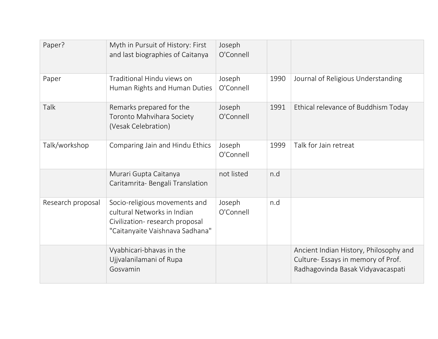| Paper?            | Myth in Pursuit of History: First<br>and last biographies of Caitanya                                                             | Joseph<br>O'Connell |      |                                                                                                                   |
|-------------------|-----------------------------------------------------------------------------------------------------------------------------------|---------------------|------|-------------------------------------------------------------------------------------------------------------------|
| Paper             | Traditional Hindu views on<br>Human Rights and Human Duties                                                                       | Joseph<br>O'Connell | 1990 | Journal of Religious Understanding                                                                                |
| Talk              | Remarks prepared for the<br>Toronto Mahvihara Society<br>(Vesak Celebration)                                                      | Joseph<br>O'Connell | 1991 | Ethical relevance of Buddhism Today                                                                               |
| Talk/workshop     | Comparing Jain and Hindu Ethics                                                                                                   | Joseph<br>O'Connell | 1999 | Talk for Jain retreat                                                                                             |
|                   | Murari Gupta Caitanya<br>Caritamrita- Bengali Translation                                                                         | not listed          | n.d  |                                                                                                                   |
| Research proposal | Socio-religious movements and<br>cultural Networks in Indian<br>Civilization-research proposal<br>"Caitanyaite Vaishnava Sadhana" | Joseph<br>O'Connell | n.d  |                                                                                                                   |
|                   | Vyabhicari-bhavas in the<br>Ujjvalanilamani of Rupa<br>Gosvamin                                                                   |                     |      | Ancient Indian History, Philosophy and<br>Culture- Essays in memory of Prof.<br>Radhagovinda Basak Vidyavacaspati |